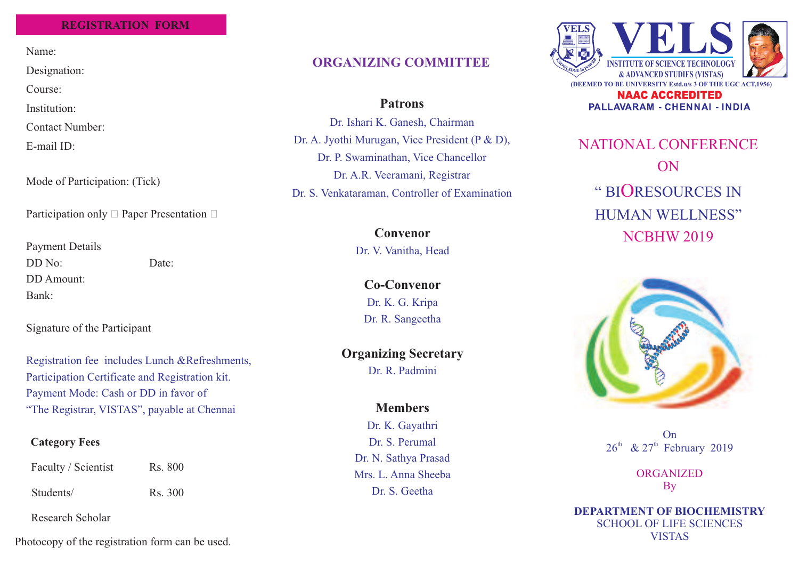## **REGISTRATION FORM**

Name:

Designation:

Course:

Institution:

Contact Number:

E-mail ID:

Mode of Participation: (Tick)

Participation only  $\Box$  Paper Presentation  $\Box$ 

Payment DetailsDD No: Date:DD Amount:Bank:

Signature of the Participant

Registration fee includes Lunch &Refreshments,Participation Certificate and Registration kit.Payment Mode: Cash or DD in favor of"The Registrar, VISTAS", payable at Chennai

# **Category Fees**

Faculty / Scientist Rs. 800 Students/ Rs. 300

Research Scholar

Photocopy of the registration form can be used.

# **ORGANIZING COMMITTEE**

**Patrons**

Dr. Ishari K. Ganesh, ChairmanDr. A. Jyothi Murugan, Vice President (P & D), Dr. P. Swaminathan, Vice ChancellorDr. A.R. Veeramani, RegistrarDr. S. Venkataraman, Controller of Examination

> **Convenor**Dr. V. Vanitha, Head

> > **Co-Convenor** Dr. K. G. KripaDr. R. Sangeetha

**Organizing Secretary**

Dr. R. Padmini

**Members**Dr. K. GayathriDr. S. PerumalDr. N. Sathya Prasad Mrs. L. Anna SheebaDr. S. Geetha



PALLAVARAM - CHENNAI - INDIA

NATIONAL CONFERENCEONNCBHW 2019" BIORESOURCES IN HUMAN WELLNESS"



On $26<sup>th</sup>$  &  $27<sup>th</sup>$  February 2019

> ORGANIZEDBy

SCHOOL OF LIFE SCIENCESVISTAS**DEPARTMENT OF BIOCHEMISTRY**